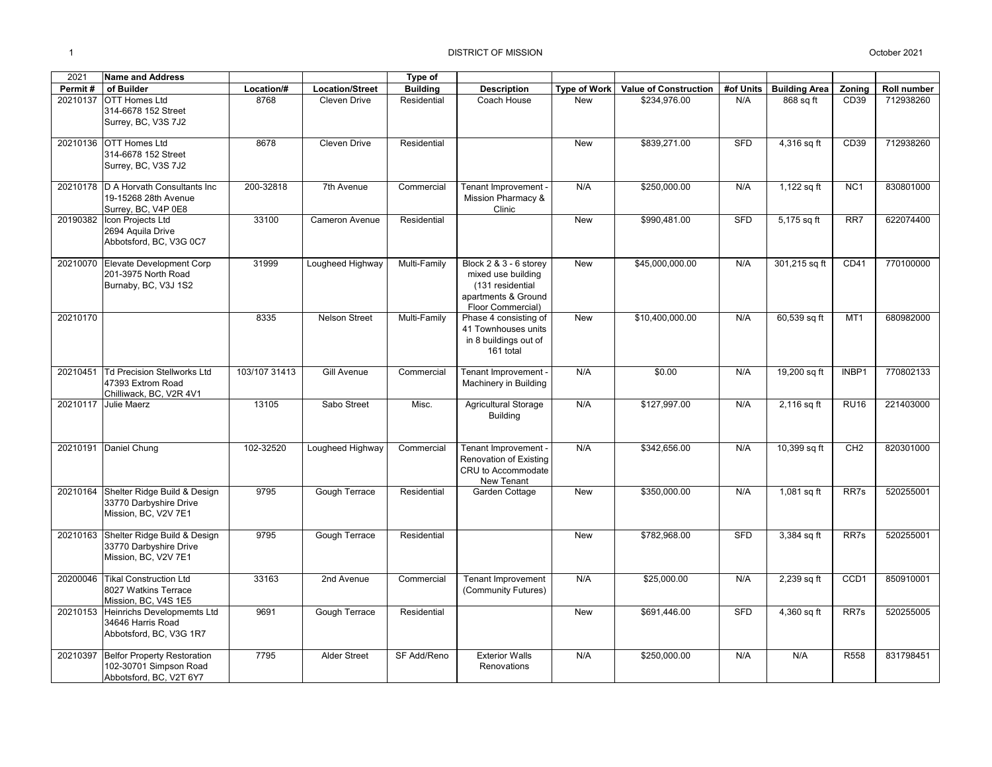| 2021     | <b>Name and Address</b>                                                                 |               |                        | Type of         |                                                                                                              |                     |                              |            |                      |                  |             |
|----------|-----------------------------------------------------------------------------------------|---------------|------------------------|-----------------|--------------------------------------------------------------------------------------------------------------|---------------------|------------------------------|------------|----------------------|------------------|-------------|
| Permit#  | of Builder                                                                              | Location/#    | <b>Location/Street</b> | <b>Building</b> | <b>Description</b>                                                                                           | <b>Type of Work</b> | <b>Value of Construction</b> | #of Units  | <b>Building Area</b> | Zoning           | Roll number |
| 20210137 | <b>OTT Homes Ltd</b><br>314-6678 152 Street<br>Surrey, BC, V3S 7J2                      | 8768          | Cleven Drive           | Residential     | Coach House                                                                                                  | <b>New</b>          | \$234,976.00                 | N/A        | 868 sq ft            | CD <sub>39</sub> | 712938260   |
|          | 20210136 OTT Homes Ltd<br>314-6678 152 Street<br>Surrey, BC, V3S 7J2                    | 8678          | Cleven Drive           | Residential     |                                                                                                              | New                 | \$839,271.00                 | <b>SFD</b> | 4,316 sq ft          | CD39             | 712938260   |
|          | 20210178 D A Horvath Consultants Inc<br>19-15268 28th Avenue<br>Surrey, BC, V4P 0E8     | 200-32818     | 7th Avenue             | Commercial      | Tenant Improvement -<br>Mission Pharmacy &<br>Clinic                                                         | N/A                 | \$250,000.00                 | N/A        | 1,122 sq ft          | NC <sub>1</sub>  | 830801000   |
| 20190382 | Icon Projects Ltd<br>2694 Aquila Drive<br>Abbotsford, BC, V3G 0C7                       | 33100         | Cameron Avenue         | Residential     |                                                                                                              | New                 | \$990,481.00                 | <b>SFD</b> | 5,175 sq ft          | $\overline{RR7}$ | 622074400   |
|          | 20210070 Elevate Development Corp<br>201-3975 North Road<br>Burnaby, BC, V3J 1S2        | 31999         | Lougheed Highway       | Multi-Family    | Block 2 & 3 - 6 storey<br>mixed use building<br>(131 residential<br>apartments & Ground<br>Floor Commercial) | New                 | \$45,000,000.00              | N/A        | 301,215 sq ft        | CD41             | 770100000   |
| 20210170 |                                                                                         | 8335          | <b>Nelson Street</b>   | Multi-Family    | Phase 4 consisting of<br>41 Townhouses units<br>in 8 buildings out of<br>161 total                           | <b>New</b>          | \$10,400,000.00              | N/A        | 60,539 sq ft         | MT <sub>1</sub>  | 680982000   |
| 20210451 | <b>Td Precision Stellworks Ltd</b><br>47393 Extrom Road<br>Chilliwack, BC, V2R 4V1      | 103/107 31413 | Gill Avenue            | Commercial      | Tenant Improvement -<br>Machinery in Building                                                                | N/A                 | \$0.00                       | N/A        | 19,200 sq ft         | INBP1            | 770802133   |
| 20210117 | Julie Maerz                                                                             | 13105         | Sabo Street            | Misc.           | Agricultural Storage<br><b>Building</b>                                                                      | N/A                 | \$127,997.00                 | N/A        | 2,116 sq ft          | <b>RU16</b>      | 221403000   |
|          | 20210191 Daniel Chung                                                                   | 102-32520     | Lougheed Highway       | Commercial      | Tenant Improvement -<br>Renovation of Existing<br>CRU to Accommodate<br>New Tenant                           | N/A                 | \$342,656.00                 | N/A        | 10,399 sq ft         | CH2              | 820301000   |
|          | 20210164 Shelter Ridge Build & Design<br>33770 Darbyshire Drive<br>Mission, BC, V2V 7E1 | 9795          | <b>Gough Terrace</b>   | Residential     | Garden Cottage                                                                                               | <b>New</b>          | \$350,000.00                 | N/A        | 1,081 sq ft          | RR7s             | 520255001   |
| 20210163 | Shelter Ridge Build & Design<br>33770 Darbyshire Drive<br>Mission, BC, V2V 7E1          | 9795          | Gough Terrace          | Residential     |                                                                                                              | New                 | \$782,968.00                 | <b>SFD</b> | 3,384 sq ft          | RR7s             | 520255001   |
| 20200046 | <b>Tikal Construction Ltd</b><br>8027 Watkins Terrace<br>Mission, BC, V4S 1E5           | 33163         | 2nd Avenue             | Commercial      | <b>Tenant Improvement</b><br>(Community Futures)                                                             | N/A                 | \$25,000.00                  | N/A        | 2,239 sq ft          | CCD1             | 850910001   |
|          | 20210153 Heinrichs Developmemts Ltd<br>34646 Harris Road<br>Abbotsford, BC, V3G 1R7     | 9691          | Gough Terrace          | Residential     |                                                                                                              | <b>New</b>          | \$691,446.00                 | <b>SFD</b> | 4,360 sq ft          | RR7s             | 520255005   |
| 20210397 | <b>Belfor Property Restoration</b><br>102-30701 Simpson Road<br>Abbotsford, BC, V2T 6Y7 | 7795          | <b>Alder Street</b>    | SF Add/Reno     | <b>Exterior Walls</b><br>Renovations                                                                         | N/A                 | \$250,000.00                 | N/A        | N/A                  | R558             | 831798451   |